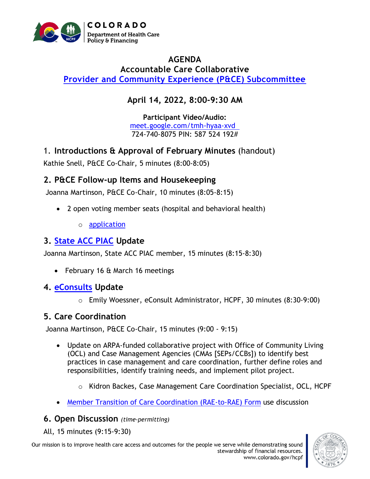

### **AGENDA Accountable Care Collaborative [Provider and Community Experience \(P&CE\) Subcommittee](https://hcpf.colorado.gov/provider-and-community-experience-subcommittee)**

# **April 14, 2022, 8:00-9:30 AM**

**Participant Video/Audio:** [meet.google.com/tmh-hyaa-xvd](http://meet.google.com/tmh-hyaa-xvd)  724-740-8075 PIN: 587 524 192#

1. **Introductions & Approval of February Minutes** (handout)

Kathie Snell, P&CE Co-Chair, 5 minutes (8:00-8:05)

### **2. P&CE Follow-up Items and Housekeeping**

Joanna Martinson, P&CE Co-Chair, 10 minutes (8:05-8:15)

- 2 open voting member seats (hospital and behavioral health)
	- o [application](https://docs.google.com/forms/d/e/1FAIpQLSf_Vli4tbXwRB40CbK6RvopPq2ab3ThM2MBKpdX5TjIrXlw1A/viewform)

# **3. [State ACC PIAC](https://www.colorado.gov/pacific/hcpf/accountable-care-collaborative-program-improvement-advisory-committee) Update**

Joanna Martinson, State ACC PIAC member, 15 minutes (8:15-8:30)

- February 16 & March 16 meetings
- **4. [eConsults](https://hcpf.colorado.gov/eConsult%20Platform) Update**
	- o Emily Woessner, eConsult Administrator, HCPF, 30 minutes (8:30-9:00)

# **5. Care Coordination**

Joanna Martinson, P&CE Co-Chair, 15 minutes (9:00 - 9:15)

- Update on ARPA-funded collaborative project with Office of Community Living (OCL) and Case Management Agencies (CMAs [SEPs/CCBs]) to identify best practices in case management and care coordination, further define roles and responsibilities, identify training needs, and implement pilot project.
	- $\circ$  Kidron Backes, Case Management Care Coordination Specialist, OCL, HCPF
- [Member Transition of Care Coordination \(RAE-to-RAE\) Form](https://hcpf.colorado.gov/sites/hcpf/files/Provider%20and%20Community%20Experience%20PIAC%20Subcommittee%20Member%20Transition%20of%20Care%20Coordination%20%28RAE%20to%20RAE%29%20Form%20April%202021.pdf) use discussion

#### **6. Open Discussion** *(time-permitting)*

All, 15 minutes (9:15-9:30)